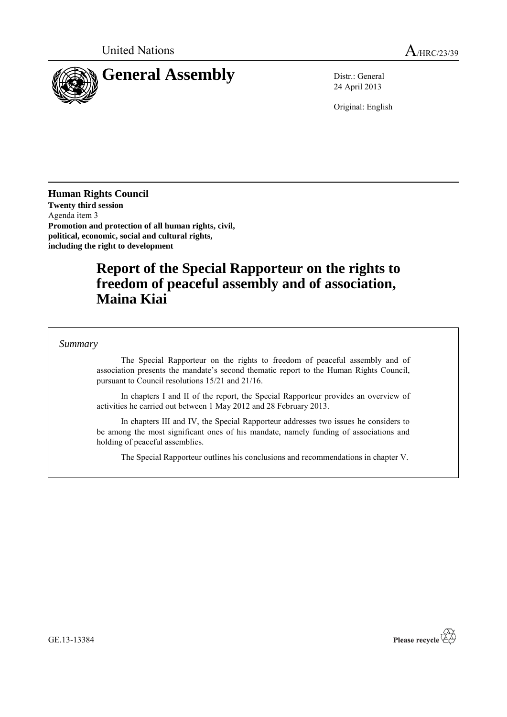

24 April 2013

Original: English

**Human Rights Council Twenty third session** Agenda item 3 **Promotion and protection of all human rights, civil, political, economic, social and cultural rights, including the right to development**

# **Report of the Special Rapporteur on the rights to freedom of peaceful assembly and of association, Maina Kiai**

*Summary*

The Special Rapporteur on the rights to freedom of peaceful assembly and of association presents the mandate's second thematic report to the Human Rights Council, pursuant to Council resolutions 15/21 and 21/16.

In chapters I and II of the report, the Special Rapporteur provides an overview of activities he carried out between 1 May 2012 and 28 February 2013.

In chapters III and IV, the Special Rapporteur addresses two issues he considers to be among the most significant ones of his mandate, namely funding of associations and holding of peaceful assemblies.

The Special Rapporteur outlines his conclusions and recommendations in chapter V.



GE.13-13384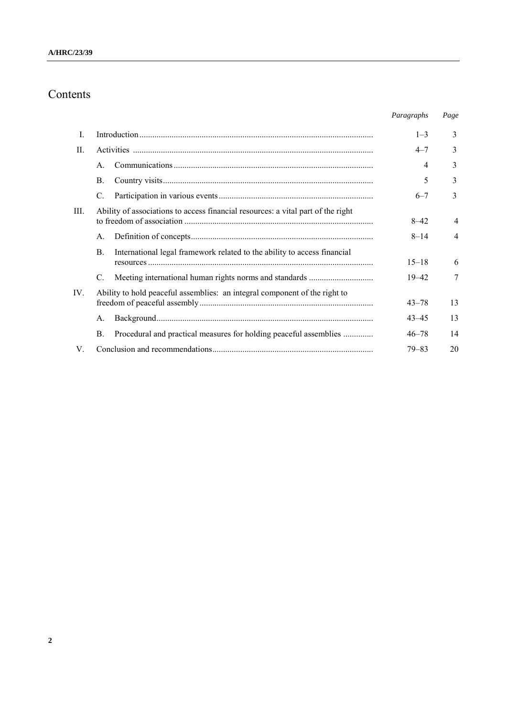# Contents

| Paragraphs | Page |
|------------|------|
|            |      |

| L    |                |                                                                                  | $1 - 3$   | $\mathcal{E}$  |
|------|----------------|----------------------------------------------------------------------------------|-----------|----------------|
| II.  |                |                                                                                  | $4 - 7$   | 3              |
|      | A <sub>1</sub> |                                                                                  | 4         | 3              |
|      | <b>B.</b>      |                                                                                  | 5         | 3              |
|      | C.             |                                                                                  | $6 - 7$   | $\mathcal{E}$  |
| III. |                | Ability of associations to access financial resources: a vital part of the right | $8 - 42$  | 4              |
|      | $\mathsf{A}$ . |                                                                                  | $8 - 14$  | $\overline{4}$ |
|      | $\mathbf{B}$ . | International legal framework related to the ability to access financial         | $15 - 18$ | 6              |
|      | C.             |                                                                                  | $19 - 42$ | 7              |
| IV.  |                | Ability to hold peaceful assemblies: an integral component of the right to       | $43 - 78$ | 13             |
|      | $A_{\cdot}$    |                                                                                  | $43 - 45$ | 13             |
|      | <b>B.</b>      | Procedural and practical measures for holding peaceful assemblies                | $46 - 78$ | 14             |
| V.   |                |                                                                                  | $79 - 83$ | 20             |
|      |                |                                                                                  |           |                |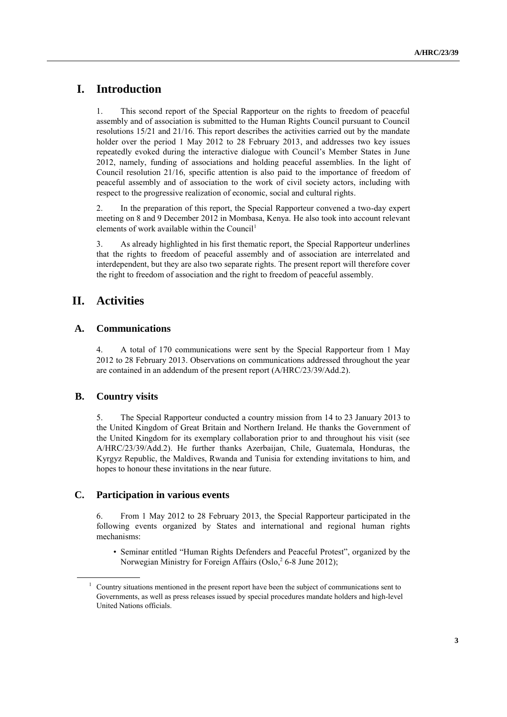## **I. Introduction**

1. This second report of the Special Rapporteur on the rights to freedom of peaceful assembly and of association is submitted to the Human Rights Council pursuant to Council resolutions 15/21 and 21/16. This report describes the activities carried out by the mandate holder over the period 1 May 2012 to 28 February 2013, and addresses two key issues repeatedly evoked during the interactive dialogue with Council's Member States in June 2012, namely, funding of associations and holding peaceful assemblies. In the light of Council resolution 21/16, specific attention is also paid to the importance of freedom of peaceful assembly and of association to the work of civil society actors, including with respect to the progressive realization of economic, social and cultural rights.

2. In the preparation of this report, the Special Rapporteur convened a two-day expert meeting on 8 and 9 December 2012 in Mombasa, Kenya. He also took into account relevant elements of work available within the Council<sup>1</sup>

3. As already highlighted in his first thematic report, the Special Rapporteur underlines that the rights to freedom of peaceful assembly and of association are interrelated and interdependent, but they are also two separate rights. The present report will therefore cover the right to freedom of association and the right to freedom of peaceful assembly.

## **II. Activities**

## **A. Communications**

4. A total of 170 communications were sent by the Special Rapporteur from 1 May 2012 to 28 February 2013. Observations on communications addressed throughout the year are contained in an addendum of the present report (A/HRC/23/39/Add.2).

## **B. Country visits**

5. The Special Rapporteur conducted a country mission from 14 to 23 January 2013 to the United Kingdom of Great Britain and Northern Ireland. He thanks the Government of the United Kingdom for its exemplary collaboration prior to and throughout his visit (see A/HRC/23/39/Add.2). He further thanks Azerbaijan, Chile, Guatemala, Honduras, the Kyrgyz Republic, the Maldives, Rwanda and Tunisia for extending invitations to him, and hopes to honour these invitations in the near future.

## **C. Participation in various events**

6. From 1 May 2012 to 28 February 2013, the Special Rapporteur participated in the following events organized by States and international and regional human rights mechanisms:

• Seminar entitled "Human Rights Defenders and Peaceful Protest", organized by the Norwegian Ministry for Foreign Affairs (Oslo, 2 6-8 June 2012);

<sup>1</sup> Country situations mentioned in the present report have been the subject of communications sent to Governments, as well as press releases issued by special procedures mandate holders and high-level United Nations officials.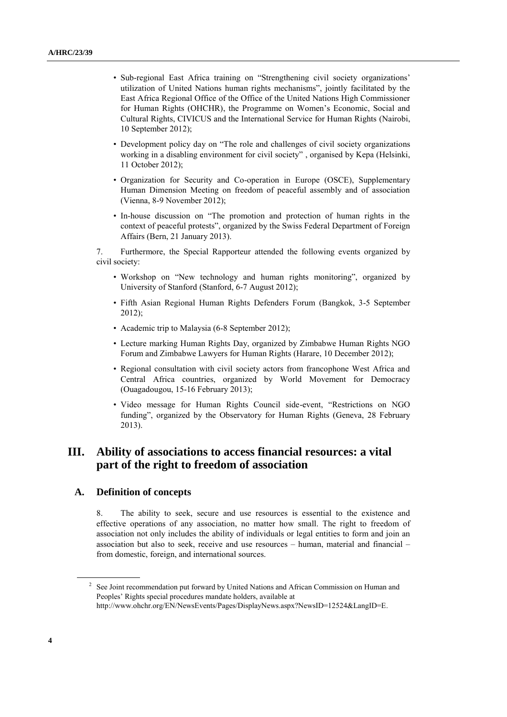- Sub-regional East Africa training on "Strengthening civil society organizations' utilization of United Nations human rights mechanisms", jointly facilitated by the East Africa Regional Office of the Office of the United Nations High Commissioner for Human Rights (OHCHR), the Programme on Women's Economic, Social and Cultural Rights, CIVICUS and the International Service for Human Rights (Nairobi, 10 September 2012);
- Development policy day on "The role and challenges of civil society organizations working in a disabling environment for civil society" , organised by Kepa (Helsinki, 11 October 2012);
- Organization for Security and Co-operation in Europe (OSCE), Supplementary Human Dimension Meeting on freedom of peaceful assembly and of association (Vienna, 8-9 November 2012);
- In-house discussion on "The promotion and protection of human rights in the context of peaceful protests", organized by the Swiss Federal Department of Foreign Affairs (Bern, 21 January 2013).

7. Furthermore, the Special Rapporteur attended the following events organized by civil society:

- Workshop on "New technology and human rights monitoring", organized by University of Stanford (Stanford, 6-7 August 2012);
- Fifth Asian Regional Human Rights Defenders Forum (Bangkok, 3-5 September 2012);
- Academic trip to Malaysia (6-8 September 2012);
- Lecture marking Human Rights Day, organized by Zimbabwe Human Rights NGO Forum and Zimbabwe Lawyers for Human Rights (Harare, 10 December 2012);
- Regional consultation with civil society actors from francophone West Africa and Central Africa countries, organized by World Movement for Democracy (Ouagadougou, 15-16 February 2013);
- Video message for Human Rights Council side-event, "Restrictions on NGO funding", organized by the Observatory for Human Rights (Geneva, 28 February 2013).

## **III. Ability of associations to access financial resources: a vital part of the right to freedom of association**

### **A. Definition of concepts**

8. The ability to seek, secure and use resources is essential to the existence and effective operations of any association, no matter how small. The right to freedom of association not only includes the ability of individuals or legal entities to form and join an association but also to seek, receive and use resources – human, material and financial – from domestic, foreign, and international sources.

<sup>&</sup>lt;sup>2</sup> See Joint recommendation put forward by United Nations and African Commission on Human and Peoples' Rights special procedures mandate holders, available at http://www.ohchr.org/EN/NewsEvents/Pages/DisplayNews.aspx?NewsID=12524&LangID=E.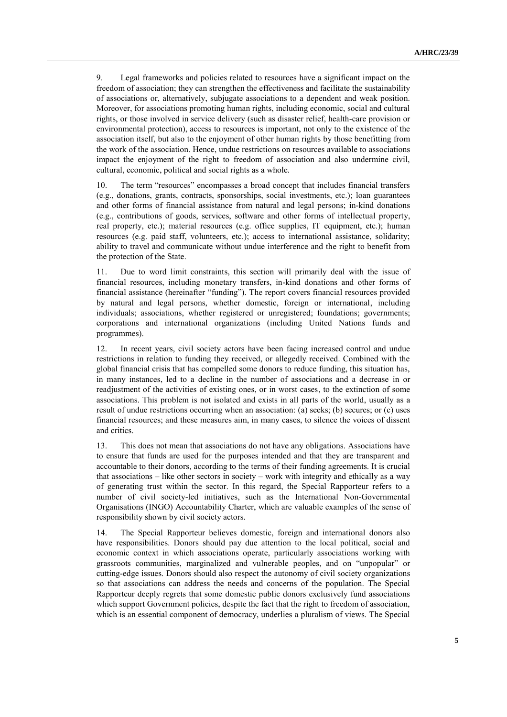9. Legal frameworks and policies related to resources have a significant impact on the freedom of association; they can strengthen the effectiveness and facilitate the sustainability of associations or, alternatively, subjugate associations to a dependent and weak position. Moreover, for associations promoting human rights, including economic, social and cultural rights, or those involved in service delivery (such as disaster relief, health-care provision or environmental protection), access to resources is important, not only to the existence of the association itself, but also to the enjoyment of other human rights by those benefitting from the work of the association. Hence, undue restrictions on resources available to associations impact the enjoyment of the right to freedom of association and also undermine civil, cultural, economic, political and social rights as a whole.

10. The term "resources" encompasses a broad concept that includes financial transfers (e.g., donations, grants, contracts, sponsorships, social investments, etc.); loan guarantees and other forms of financial assistance from natural and legal persons; in-kind donations (e.g., contributions of goods, services, software and other forms of intellectual property, real property, etc.); material resources (e.g. office supplies, IT equipment, etc.); human resources (e.g. paid staff, volunteers, etc.); access to international assistance, solidarity; ability to travel and communicate without undue interference and the right to benefit from the protection of the State.

11. Due to word limit constraints, this section will primarily deal with the issue of financial resources, including monetary transfers, in-kind donations and other forms of financial assistance (hereinafter "funding"). The report covers financial resources provided by natural and legal persons, whether domestic, foreign or international, including individuals; associations, whether registered or unregistered; foundations; governments; corporations and international organizations (including United Nations funds and programmes).

12. In recent years, civil society actors have been facing increased control and undue restrictions in relation to funding they received, or allegedly received. Combined with the global financial crisis that has compelled some donors to reduce funding, this situation has, in many instances, led to a decline in the number of associations and a decrease in or readjustment of the activities of existing ones, or in worst cases, to the extinction of some associations. This problem is not isolated and exists in all parts of the world, usually as a result of undue restrictions occurring when an association: (a) seeks; (b) secures; or (c) uses financial resources; and these measures aim, in many cases, to silence the voices of dissent and critics.

13. This does not mean that associations do not have any obligations. Associations have to ensure that funds are used for the purposes intended and that they are transparent and accountable to their donors, according to the terms of their funding agreements. It is crucial that associations – like other sectors in society – work with integrity and ethically as a way of generating trust within the sector. In this regard, the Special Rapporteur refers to a number of civil society-led initiatives, such as the International Non-Governmental Organisations (INGO) Accountability Charter, which are valuable examples of the sense of responsibility shown by civil society actors.

14. The Special Rapporteur believes domestic, foreign and international donors also have responsibilities. Donors should pay due attention to the local political, social and economic context in which associations operate, particularly associations working with grassroots communities, marginalized and vulnerable peoples, and on "unpopular" or cutting-edge issues. Donors should also respect the autonomy of civil society organizations so that associations can address the needs and concerns of the population. The Special Rapporteur deeply regrets that some domestic public donors exclusively fund associations which support Government policies, despite the fact that the right to freedom of association, which is an essential component of democracy, underlies a pluralism of views. The Special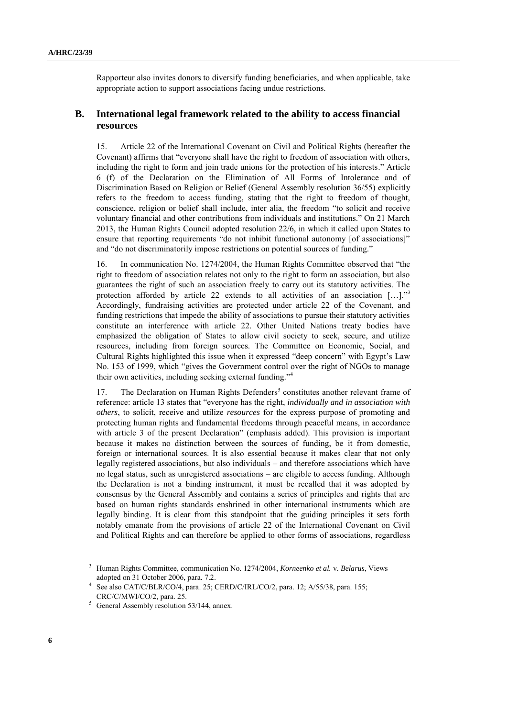Rapporteur also invites donors to diversify funding beneficiaries, and when applicable, take appropriate action to support associations facing undue restrictions.

## **B. International legal framework related to the ability to access financial resources**

15. Article 22 of the International Covenant on Civil and Political Rights (hereafter the Covenant) affirms that "everyone shall have the right to freedom of association with others, including the right to form and join trade unions for the protection of his interests." Article 6 (f) of the Declaration on the Elimination of All Forms of Intolerance and of Discrimination Based on Religion or Belief (General Assembly resolution 36/55) explicitly refers to the freedom to access funding, stating that the right to freedom of thought, conscience, religion or belief shall include, inter alia, the freedom "to solicit and receive voluntary financial and other contributions from individuals and institutions." On 21 March 2013, the Human Rights Council adopted resolution 22/6, in which it called upon States to ensure that reporting requirements "do not inhibit functional autonomy [of associations]" and "do not discriminatorily impose restrictions on potential sources of funding."

16. In communication No. 1274/2004, the Human Rights Committee observed that "the right to freedom of association relates not only to the right to form an association, but also guarantees the right of such an association freely to carry out its statutory activities. The protection afforded by article 22 extends to all activities of an association  $[\dots]$ ."<sup>3</sup> Accordingly, fundraising activities are protected under article 22 of the Covenant, and funding restrictions that impede the ability of associations to pursue their statutory activities constitute an interference with article 22. Other United Nations treaty bodies have emphasized the obligation of States to allow civil society to seek, secure, and utilize resources, including from foreign sources. The Committee on Economic, Social, and Cultural Rights highlighted this issue when it expressed "deep concern" with Egypt's Law No. 153 of 1999, which "gives the Government control over the right of NGOs to manage their own activities, including seeking external funding."<sup>4</sup>

17. The Declaration on Human Rights Defenders<sup>5</sup> constitutes another relevant frame of reference: article 13 states that "everyone has the right, *individually and in association with others*, to solicit, receive and utilize *resources* for the express purpose of promoting and protecting human rights and fundamental freedoms through peaceful means, in accordance with article 3 of the present Declaration" (emphasis added). This provision is important because it makes no distinction between the sources of funding, be it from domestic, foreign or international sources. It is also essential because it makes clear that not only legally registered associations, but also individuals – and therefore associations which have no legal status, such as unregistered associations – are eligible to access funding. Although the Declaration is not a binding instrument, it must be recalled that it was adopted by consensus by the General Assembly and contains a series of principles and rights that are based on human rights standards enshrined in other international instruments which are legally binding. It is clear from this standpoint that the guiding principles it sets forth notably emanate from the provisions of article 22 of the International Covenant on Civil and Political Rights and can therefore be applied to other forms of associations, regardless

<sup>3</sup> Human Rights Committee, communication No. 1274/2004, *Korneenko et al.* v. *Belarus*, Views adopted on 31 October 2006, para. 7.2.

<sup>4</sup> See also CAT/C/BLR/CO/4, para. 25; CERD/C/IRL/CO/2, para. 12; A/55/38, para. 155; CRC/C/MWI/CO/2, para. 25.

 $5$  General Assembly resolution 53/144, annex.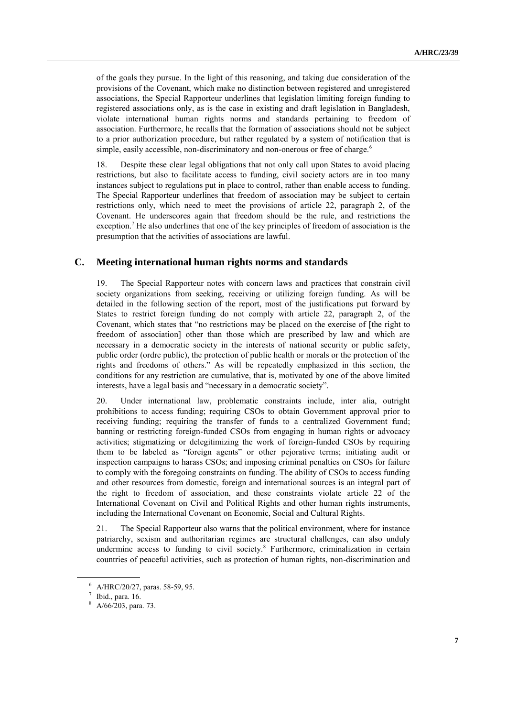of the goals they pursue. In the light of this reasoning, and taking due consideration of the provisions of the Covenant, which make no distinction between registered and unregistered associations, the Special Rapporteur underlines that legislation limiting foreign funding to registered associations only, as is the case in existing and draft legislation in Bangladesh, violate international human rights norms and standards pertaining to freedom of association. Furthermore, he recalls that the formation of associations should not be subject to a prior authorization procedure, but rather regulated by a system of notification that is simple, easily accessible, non-discriminatory and non-onerous or free of charge.<sup>6</sup>

18. Despite these clear legal obligations that not only call upon States to avoid placing restrictions, but also to facilitate access to funding, civil society actors are in too many instances subject to regulations put in place to control, rather than enable access to funding. The Special Rapporteur underlines that freedom of association may be subject to certain restrictions only, which need to meet the provisions of article 22, paragraph 2, of the Covenant. He underscores again that freedom should be the rule, and restrictions the exception.<sup>7</sup> He also underlines that one of the key principles of freedom of association is the presumption that the activities of associations are lawful.

### **C. Meeting international human rights norms and standards**

19. The Special Rapporteur notes with concern laws and practices that constrain civil society organizations from seeking, receiving or utilizing foreign funding. As will be detailed in the following section of the report, most of the justifications put forward by States to restrict foreign funding do not comply with article 22, paragraph 2, of the Covenant, which states that "no restrictions may be placed on the exercise of [the right to freedom of association] other than those which are prescribed by law and which are necessary in a democratic society in the interests of national security or public safety, public order (ordre public), the protection of public health or morals or the protection of the rights and freedoms of others." As will be repeatedly emphasized in this section, the conditions for any restriction are cumulative, that is, motivated by one of the above limited interests, have a legal basis and "necessary in a democratic society".

20. Under international law, problematic constraints include, inter alia, outright prohibitions to access funding; requiring CSOs to obtain Government approval prior to receiving funding; requiring the transfer of funds to a centralized Government fund; banning or restricting foreign-funded CSOs from engaging in human rights or advocacy activities; stigmatizing or delegitimizing the work of foreign-funded CSOs by requiring them to be labeled as "foreign agents" or other pejorative terms; initiating audit or inspection campaigns to harass CSOs; and imposing criminal penalties on CSOs for failure to comply with the foregoing constraints on funding. The ability of CSOs to access funding and other resources from domestic, foreign and international sources is an integral part of the right to freedom of association, and these constraints violate article 22 of the International Covenant on Civil and Political Rights and other human rights instruments, including the International Covenant on Economic, Social and Cultural Rights.

21. The Special Rapporteur also warns that the political environment, where for instance patriarchy, sexism and authoritarian regimes are structural challenges, can also unduly undermine access to funding to civil society.<sup>8</sup> Furthermore, criminalization in certain countries of peaceful activities, such as protection of human rights, non-discrimination and

<sup>6</sup> A/HRC/20/27, paras. 58-59, 95.

 $<sup>7</sup>$  Ibid., para. 16.</sup>

<sup>8</sup> A/66/203, para. 73.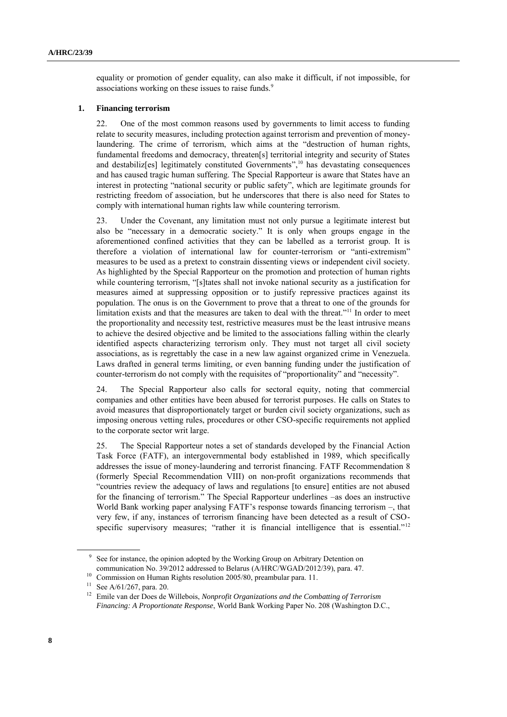equality or promotion of gender equality, can also make it difficult, if not impossible, for associations working on these issues to raise funds.<sup>9</sup>

#### **1. Financing terrorism**

22. One of the most common reasons used by governments to limit access to funding relate to security measures, including protection against terrorism and prevention of moneylaundering. The crime of terrorism, which aims at the "destruction of human rights, fundamental freedoms and democracy, threaten[s] territorial integrity and security of States and destabiliz[es] legitimately constituted Governments",<sup>10</sup> has devastating consequences and has caused tragic human suffering. The Special Rapporteur is aware that States have an interest in protecting "national security or public safety", which are legitimate grounds for restricting freedom of association, but he underscores that there is also need for States to comply with international human rights law while countering terrorism.

23. Under the Covenant, any limitation must not only pursue a legitimate interest but also be "necessary in a democratic society." It is only when groups engage in the aforementioned confined activities that they can be labelled as a terrorist group. It is therefore a violation of international law for counter-terrorism or "anti-extremism" measures to be used as a pretext to constrain dissenting views or independent civil society. As highlighted by the Special Rapporteur on the promotion and protection of human rights while countering terrorism, "[s]tates shall not invoke national security as a justification for measures aimed at suppressing opposition or to justify repressive practices against its population. The onus is on the Government to prove that a threat to one of the grounds for limitation exists and that the measures are taken to deal with the threat."<sup>11</sup> In order to meet the proportionality and necessity test, restrictive measures must be the least intrusive means to achieve the desired objective and be limited to the associations falling within the clearly identified aspects characterizing terrorism only. They must not target all civil society associations, as is regrettably the case in a new law against organized crime in Venezuela. Laws drafted in general terms limiting, or even banning funding under the justification of counter-terrorism do not comply with the requisites of "proportionality" and "necessity".

24. The Special Rapporteur also calls for sectoral equity, noting that commercial companies and other entities have been abused for terrorist purposes. He calls on States to avoid measures that disproportionately target or burden civil society organizations, such as imposing onerous vetting rules, procedures or other CSO-specific requirements not applied to the corporate sector writ large.

25. The Special Rapporteur notes a set of standards developed by the Financial Action Task Force (FATF), an intergovernmental body established in 1989, which specifically addresses the issue of money-laundering and terrorist financing. FATF Recommendation 8 (formerly Special Recommendation VIII) on non-profit organizations recommends that "countries review the adequacy of laws and regulations [to ensure] entities are not abused for the financing of terrorism." The Special Rapporteur underlines –as does an instructive World Bank working paper analysing FATF's response towards financing terrorism –, that very few, if any, instances of terrorism financing have been detected as a result of CSOspecific supervisory measures; "rather it is financial intelligence that is essential."<sup>12</sup>

<sup>9</sup> See for instance, the opinion adopted by the Working Group on Arbitrary Detention on communication No. 39/2012 addressed to Belarus (A/HRC/WGAD/2012/39), para. 47.

<sup>&</sup>lt;sup>10</sup> Commission on Human Rights resolution [2005/80,](http://ap.ohchr.org/documents/E/CHR/resolutions/E-CN_4-RES-2005-80.doc) preambular para. 11.

<sup>11</sup> See A/61/267, para. 20.

<sup>&</sup>lt;sup>12</sup> Emile van der Does de Willebois, *Nonprofit Organizations and the Combatting of Terrorism Financing: A Proportionate Response*, World Bank Working Paper No. 208 (Washington D.C.,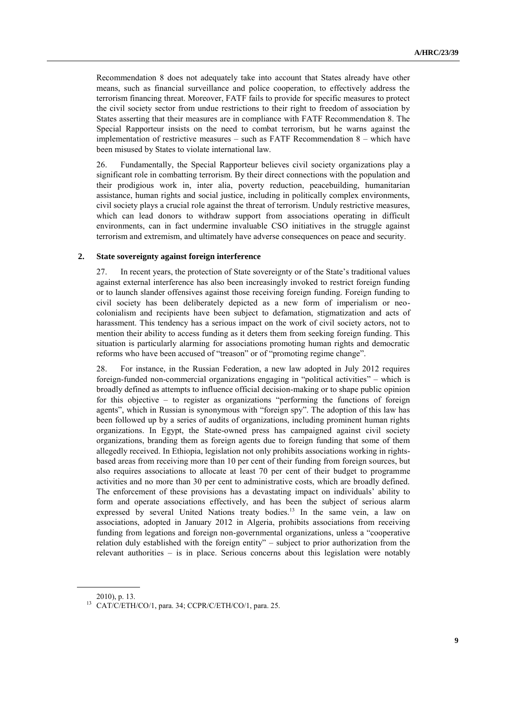Recommendation 8 does not adequately take into account that States already have other means, such as financial surveillance and police cooperation, to effectively address the terrorism financing threat. Moreover, FATF fails to provide for specific measures to protect the civil society sector from undue restrictions to their right to freedom of association by States asserting that their measures are in compliance with FATF Recommendation 8. The Special Rapporteur insists on the need to combat terrorism, but he warns against the implementation of restrictive measures – such as FATF Recommendation 8 – which have been misused by States to violate international law.

26. Fundamentally, the Special Rapporteur believes civil society organizations play a significant role in combatting terrorism. By their direct connections with the population and their prodigious work in, inter alia, poverty reduction, peacebuilding, humanitarian assistance, human rights and social justice, including in politically complex environments, civil society plays a crucial role against the threat of terrorism. Unduly restrictive measures, which can lead donors to withdraw support from associations operating in difficult environments, can in fact undermine invaluable CSO initiatives in the struggle against terrorism and extremism, and ultimately have adverse consequences on peace and security.

#### **2. State sovereignty against foreign interference**

27. In recent years, the protection of State sovereignty or of the State's traditional values against external interference has also been increasingly invoked to restrict foreign funding or to launch slander offensives against those receiving foreign funding. Foreign funding to civil society has been deliberately depicted as a new form of imperialism or neocolonialism and recipients have been subject to defamation, stigmatization and acts of harassment. This tendency has a serious impact on the work of civil society actors, not to mention their ability to access funding as it deters them from seeking foreign funding. This situation is particularly alarming for associations promoting human rights and democratic reforms who have been accused of "treason" or of "promoting regime change".

28. For instance, in the Russian Federation, a new law adopted in July 2012 requires foreign-funded non-commercial organizations engaging in "political activities" – which is broadly defined as attempts to influence official decision-making or to shape public opinion for this objective – to register as organizations "performing the functions of foreign agents", which in Russian is synonymous with "foreign spy". The adoption of this law has been followed up by a series of audits of organizations, including prominent human rights organizations. In Egypt, the State-owned press has campaigned against civil society organizations, branding them as foreign agents due to foreign funding that some of them allegedly received. In Ethiopia, legislation not only prohibits associations working in rightsbased areas from receiving more than 10 per cent of their funding from foreign sources, but also requires associations to allocate at least 70 per cent of their budget to programme activities and no more than 30 per cent to administrative costs, which are broadly defined. The enforcement of these provisions has a devastating impact on individuals' ability to form and operate associations effectively, and has been the subject of serious alarm expressed by several United Nations treaty bodies.<sup>13</sup> In the same vein, a law on associations, adopted in January 2012 in Algeria, prohibits associations from receiving funding from legations and foreign non-governmental organizations, unless a "cooperative relation duly established with the foreign entity" – subject to prior authorization from the relevant authorities – is in place. Serious concerns about this legislation were notably

<sup>2010),</sup> p. 13.

<sup>13</sup> CAT/C/ETH/CO/1, para. 34; CCPR/C/ETH/CO/1, para. 25.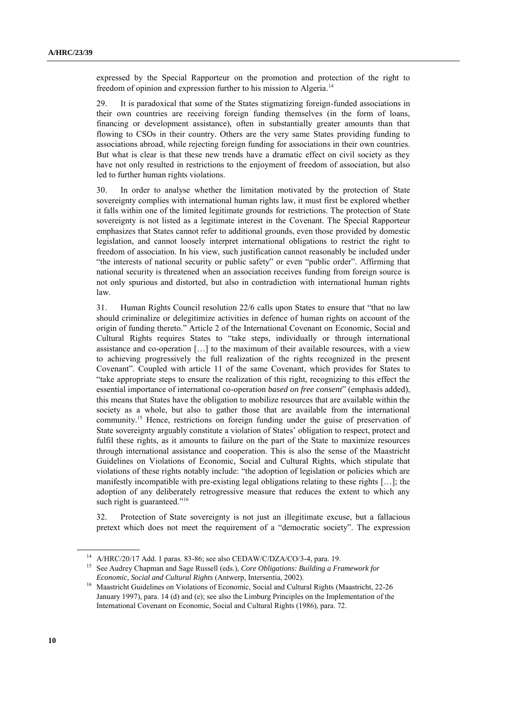expressed by the Special Rapporteur on the promotion and protection of the right to freedom of opinion and expression further to his mission to Algeria.<sup>14</sup>

29. It is paradoxical that some of the States stigmatizing foreign-funded associations in their own countries are receiving foreign funding themselves (in the form of loans, financing or development assistance), often in substantially greater amounts than that flowing to CSOs in their country. Others are the very same States providing funding to associations abroad, while rejecting foreign funding for associations in their own countries. But what is clear is that these new trends have a dramatic effect on civil society as they have not only resulted in restrictions to the enjoyment of freedom of association, but also led to further human rights violations.

30. In order to analyse whether the limitation motivated by the protection of State sovereignty complies with international human rights law, it must first be explored whether it falls within one of the limited legitimate grounds for restrictions. The protection of State sovereignty is not listed as a legitimate interest in the Covenant. The Special Rapporteur emphasizes that States cannot refer to additional grounds, even those provided by domestic legislation, and cannot loosely interpret international obligations to restrict the right to freedom of association. In his view, such justification cannot reasonably be included under "the interests of national security or public safety" or even "public order". Affirming that national security is threatened when an association receives funding from foreign source is not only spurious and distorted, but also in contradiction with international human rights law.

31. Human Rights Council resolution 22/6 calls upon States to ensure that "that no law should criminalize or delegitimize activities in defence of human rights on account of the origin of funding thereto." Article 2 of the International Covenant on Economic, Social and Cultural Rights requires States to "take steps, individually or through international assistance and co-operation […] to the maximum of their available resources, with a view to achieving progressively the full realization of the rights recognized in the present Covenant". Coupled with article 11 of the same Covenant, which provides for States to "take appropriate steps to ensure the realization of this right, recognizing to this effect the essential importance of international co-operation *based on free consent*" (emphasis added), this means that States have the obligation to mobilize resources that are available within the society as a whole, but also to gather those that are available from the international community.<sup>15</sup> Hence, restrictions on foreign funding under the guise of preservation of State sovereignty arguably constitute a violation of States' obligation to respect, protect and fulfil these rights, as it amounts to failure on the part of the State to maximize resources through international assistance and cooperation. This is also the sense of the Maastricht Guidelines on Violations of Economic, Social and Cultural Rights, which stipulate that violations of these rights notably include: "the adoption of legislation or policies which are manifestly incompatible with pre-existing legal obligations relating to these rights […]; the adoption of any deliberately retrogressive measure that reduces the extent to which any such right is guaranteed."<sup>16</sup>

32. Protection of State sovereignty is not just an illegitimate excuse, but a fallacious pretext which does not meet the requirement of a "democratic society". The expression

<sup>14</sup> A/HRC/20/17 Add. 1 paras. 83-86; see also CEDAW/C/DZA/CO/3-4, para. 19.

<sup>15</sup> See Audrey Chapman and Sage Russell (eds.), *Core Obligations: Building a Framework for Economic, Social and Cultural Rights* (Antwerp, Intersentia, 2002).

<sup>&</sup>lt;sup>16</sup> Maastricht Guidelines on Violations of Economic, Social and Cultural Rights (Maastricht, 22-26 January 1997), para. 14 (d) and (e); see also the Limburg Principles on the Implementation of the International Covenant on Economic, Social and Cultural Rights (1986), para. 72.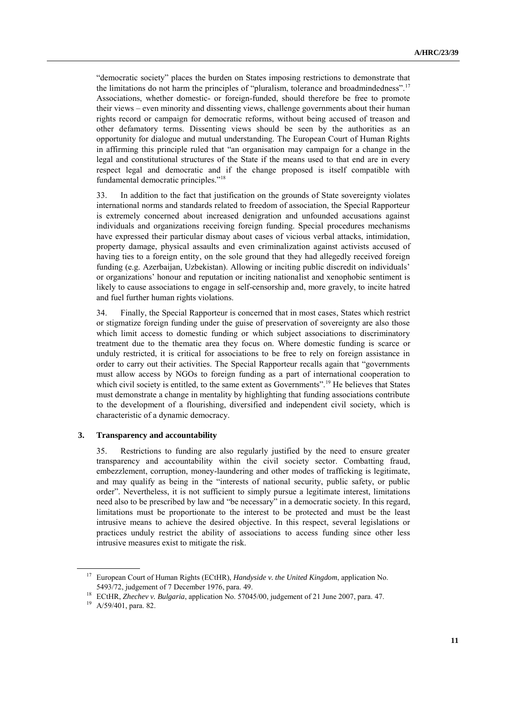"democratic society" places the burden on States imposing restrictions to demonstrate that the limitations do not harm the principles of "pluralism, tolerance and broadmindedness".<sup>17</sup> Associations, whether domestic- or foreign-funded, should therefore be free to promote their views – even minority and dissenting views, challenge governments about their human rights record or campaign for democratic reforms, without being accused of treason and other defamatory terms. Dissenting views should be seen by the authorities as an opportunity for dialogue and mutual understanding. The European Court of Human Rights in affirming this principle ruled that "an organisation may campaign for a change in the legal and constitutional structures of the State if the means used to that end are in every respect legal and democratic and if the change proposed is itself compatible with fundamental democratic principles."<sup>18</sup>

33. In addition to the fact that justification on the grounds of State sovereignty violates international norms and standards related to freedom of association, the Special Rapporteur is extremely concerned about increased denigration and unfounded accusations against individuals and organizations receiving foreign funding. Special procedures mechanisms have expressed their particular dismay about cases of vicious verbal attacks, intimidation, property damage, physical assaults and even criminalization against activists accused of having ties to a foreign entity, on the sole ground that they had allegedly received foreign funding (e.g. Azerbaijan, Uzbekistan). Allowing or inciting public discredit on individuals' or organizations' honour and reputation or inciting nationalist and xenophobic sentiment is likely to cause associations to engage in self-censorship and, more gravely, to incite hatred and fuel further human rights violations.

34. Finally, the Special Rapporteur is concerned that in most cases, States which restrict or stigmatize foreign funding under the guise of preservation of sovereignty are also those which limit access to domestic funding or which subject associations to discriminatory treatment due to the thematic area they focus on. Where domestic funding is scarce or unduly restricted, it is critical for associations to be free to rely on foreign assistance in order to carry out their activities. The Special Rapporteur recalls again that "governments must allow access by NGOs to foreign funding as a part of international cooperation to which civil society is entitled, to the same extent as Governments".<sup>19</sup> He believes that States must demonstrate a change in mentality by highlighting that funding associations contribute to the development of a flourishing, diversified and independent civil society, which is characteristic of a dynamic democracy.

#### **3. Transparency and accountability**

35. Restrictions to funding are also regularly justified by the need to ensure greater transparency and accountability within the civil society sector. Combatting fraud, embezzlement, corruption, money-laundering and other modes of trafficking is legitimate, and may qualify as being in the "interests of national security, public safety, or public order". Nevertheless, it is not sufficient to simply pursue a legitimate interest, limitations need also to be prescribed by law and "be necessary" in a democratic society. In this regard, limitations must be proportionate to the interest to be protected and must be the least intrusive means to achieve the desired objective. In this respect, several legislations or practices unduly restrict the ability of associations to access funding since other less intrusive measures exist to mitigate the risk.

<sup>17</sup> European Court of Human Rights (ECtHR), *Handyside v. the United Kingdom*, application No. 5493/72, judgement of 7 December 1976, para. 49.

<sup>18</sup> ECtHR, *Zhechev v. Bulgaria*, application No. 57045/00, judgement of 21 June 2007, para. 47.

<sup>19</sup> A/59/401, para. 82.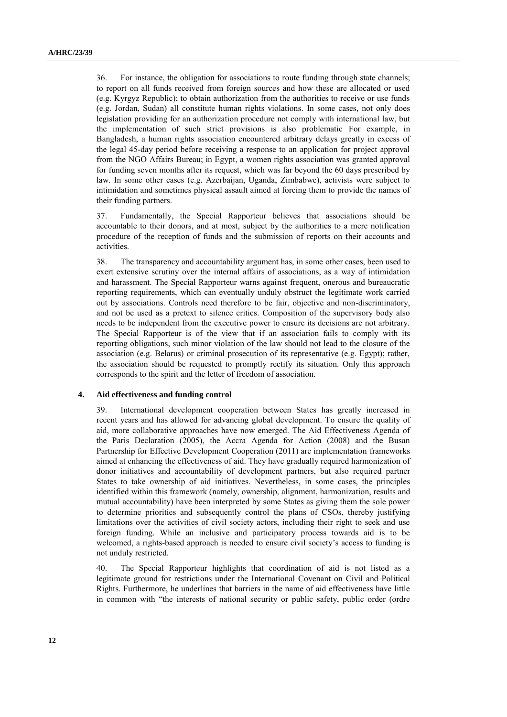36. For instance, the obligation for associations to route funding through state channels; to report on all funds received from foreign sources and how these are allocated or used (e.g. Kyrgyz Republic); to obtain authorization from the authorities to receive or use funds (e.g. Jordan, Sudan) all constitute human rights violations. In some cases, not only does legislation providing for an authorization procedure not comply with international law, but the implementation of such strict provisions is also problematic For example, in Bangladesh, a human rights association encountered arbitrary delays greatly in excess of the legal 45-day period before receiving a response to an application for project approval from the NGO Affairs Bureau; in Egypt, a women rights association was granted approval for funding seven months after its request, which was far beyond the 60 days prescribed by law. In some other cases (e.g. Azerbaijan, Uganda, Zimbabwe), activists were subject to intimidation and sometimes physical assault aimed at forcing them to provide the names of their funding partners.

37. Fundamentally, the Special Rapporteur believes that associations should be accountable to their donors, and at most, subject by the authorities to a mere notification procedure of the reception of funds and the submission of reports on their accounts and activities.

38. The transparency and accountability argument has, in some other cases, been used to exert extensive scrutiny over the internal affairs of associations, as a way of intimidation and harassment. The Special Rapporteur warns against frequent, onerous and bureaucratic reporting requirements, which can eventually unduly obstruct the legitimate work carried out by associations. Controls need therefore to be fair, objective and non-discriminatory, and not be used as a pretext to silence critics. Composition of the supervisory body also needs to be independent from the executive power to ensure its decisions are not arbitrary. The Special Rapporteur is of the view that if an association fails to comply with its reporting obligations, such minor violation of the law should not lead to the closure of the association (e.g. Belarus) or criminal prosecution of its representative (e.g. Egypt); rather, the association should be requested to promptly rectify its situation. Only this approach corresponds to the spirit and the letter of freedom of association.

#### **4. Aid effectiveness and funding control**

39. International development cooperation between States has greatly increased in recent years and has allowed for advancing global development. To ensure the quality of aid, more collaborative approaches have now emerged. The Aid Effectiveness Agenda of the Paris Declaration (2005), the Accra Agenda for Action (2008) and the Busan Partnership for Effective Development Cooperation (2011) are implementation frameworks aimed at enhancing the effectiveness of aid. They have gradually required harmonization of donor initiatives and accountability of development partners, but also required partner States to take ownership of aid initiatives. Nevertheless, in some cases, the principles identified within this framework (namely, ownership, alignment, harmonization, results and mutual accountability) have been interpreted by some States as giving them the sole power to determine priorities and subsequently control the plans of CSOs, thereby justifying limitations over the activities of civil society actors, including their right to seek and use foreign funding. While an inclusive and participatory process towards aid is to be welcomed, a rights-based approach is needed to ensure civil society's access to funding is not unduly restricted.

40. The Special Rapporteur highlights that coordination of aid is not listed as a legitimate ground for restrictions under the International Covenant on Civil and Political Rights. Furthermore, he underlines that barriers in the name of aid effectiveness have little in common with "the interests of national security or public safety, public order (ordre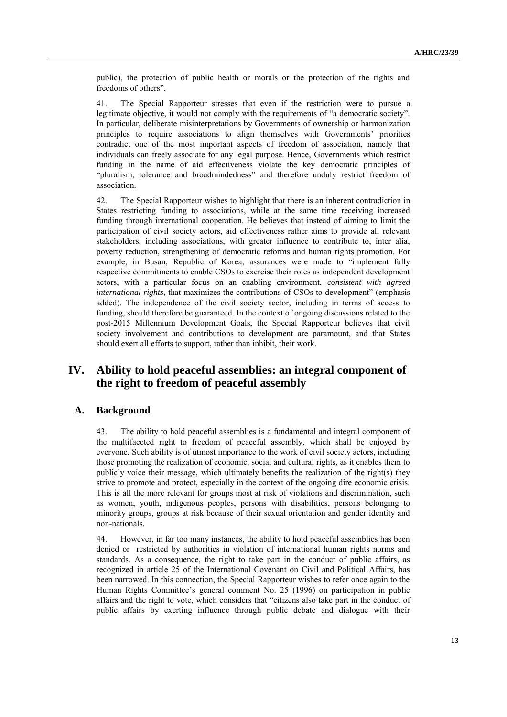public), the protection of public health or morals or the protection of the rights and freedoms of others".

41. The Special Rapporteur stresses that even if the restriction were to pursue a legitimate objective, it would not comply with the requirements of "a democratic society". In particular, deliberate misinterpretations by Governments of ownership or harmonization principles to require associations to align themselves with Governments' priorities contradict one of the most important aspects of freedom of association, namely that individuals can freely associate for any legal purpose. Hence, Governments which restrict funding in the name of aid effectiveness violate the key democratic principles of "pluralism, tolerance and broadmindedness" and therefore unduly restrict freedom of association.

42. The Special Rapporteur wishes to highlight that there is an inherent contradiction in States restricting funding to associations, while at the same time receiving increased funding through international cooperation. He believes that instead of aiming to limit the participation of civil society actors, aid effectiveness rather aims to provide all relevant stakeholders, including associations, with greater influence to contribute to, inter alia, poverty reduction, strengthening of democratic reforms and human rights promotion. For example, in Busan, Republic of Korea, assurances were made to "implement fully respective commitments to enable CSOs to exercise their roles as independent development actors, with a particular focus on an enabling environment, *consistent with agreed international rights*, that maximizes the contributions of CSOs to development" (emphasis added). The independence of the civil society sector, including in terms of access to funding, should therefore be guaranteed. In the context of ongoing discussions related to the post-2015 Millennium Development Goals, the Special Rapporteur believes that civil society involvement and contributions to development are paramount, and that States should exert all efforts to support, rather than inhibit, their work.

## **IV. Ability to hold peaceful assemblies: an integral component of the right to freedom of peaceful assembly**

## **A. Background**

43. The ability to hold peaceful assemblies is a fundamental and integral component of the multifaceted right to freedom of peaceful assembly, which shall be enjoyed by everyone. Such ability is of utmost importance to the work of civil society actors, including those promoting the realization of economic, social and cultural rights, as it enables them to publicly voice their message, which ultimately benefits the realization of the right(s) they strive to promote and protect, especially in the context of the ongoing dire economic crisis. This is all the more relevant for groups most at risk of violations and discrimination, such as women, youth, indigenous peoples, persons with disabilities, persons belonging to minority groups, groups at risk because of their sexual orientation and gender identity and non-nationals.

44. However, in far too many instances, the ability to hold peaceful assemblies has been denied or restricted by authorities in violation of international human rights norms and standards. As a consequence, the right to take part in the conduct of public affairs, as recognized in article 25 of the International Covenant on Civil and Political Affairs, has been narrowed. In this connection, the Special Rapporteur wishes to refer once again to the Human Rights Committee's general comment No. 25 (1996) on participation in public affairs and the right to vote, which considers that "citizens also take part in the conduct of public affairs by exerting influence through public debate and dialogue with their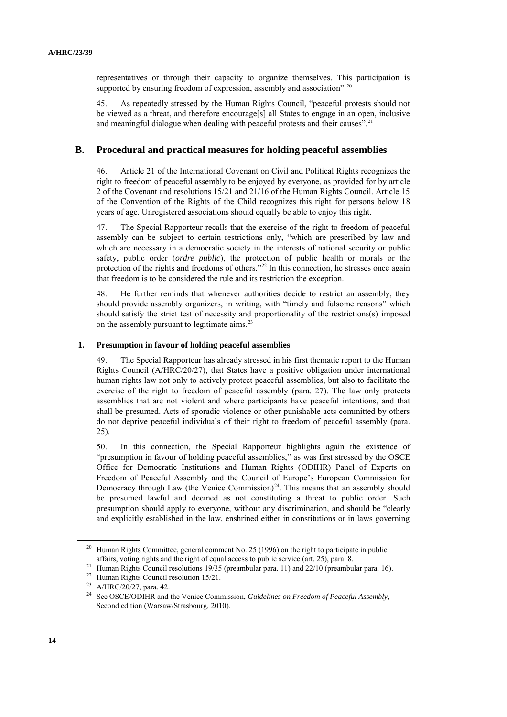representatives or through their capacity to organize themselves. This participation is supported by ensuring freedom of expression, assembly and association".<sup>20</sup>

45. As repeatedly stressed by the Human Rights Council, "peaceful protests should not be viewed as a threat, and therefore encourage[s] all States to engage in an open, inclusive and meaningful dialogue when dealing with peaceful protests and their causes".<sup>21</sup>

### **B. Procedural and practical measures for holding peaceful assemblies**

46. Article 21 of the International Covenant on Civil and Political Rights recognizes the right to freedom of peaceful assembly to be enjoyed by everyone, as provided for by article 2 of the Covenant and resolutions 15/21 and 21/16 of the Human Rights Council. Article 15 of the Convention of the Rights of the Child recognizes this right for persons below 18 years of age. Unregistered associations should equally be able to enjoy this right.

47. The Special Rapporteur recalls that the exercise of the right to freedom of peaceful assembly can be subject to certain restrictions only, "which are prescribed by law and which are necessary in a democratic society in the interests of national security or public safety, public order (*ordre public*), the protection of public health or morals or the protection of the rights and freedoms of others."<sup>22</sup> In this connection, he stresses once again that freedom is to be considered the rule and its restriction the exception.

48. He further reminds that whenever authorities decide to restrict an assembly, they should provide assembly organizers, in writing, with "timely and fulsome reasons" which should satisfy the strict test of necessity and proportionality of the restrictions(s) imposed on the assembly pursuant to legitimate aims.<sup>23</sup>

#### **1. Presumption in favour of holding peaceful assemblies**

49. The Special Rapporteur has already stressed in his first thematic report to the Human Rights Council (A/HRC/20/27), that States have a positive obligation under international human rights law not only to actively protect peaceful assemblies, but also to facilitate the exercise of the right to freedom of peaceful assembly (para. 27). The law only protects assemblies that are not violent and where participants have peaceful intentions, and that shall be presumed. Acts of sporadic violence or other punishable acts committed by others do not deprive peaceful individuals of their right to freedom of peaceful assembly (para. 25).

50. In this connection, the Special Rapporteur highlights again the existence of "presumption in favour of holding peaceful assemblies," as was first stressed by the OSCE Office for Democratic Institutions and Human Rights (ODIHR) Panel of Experts on Freedom of Peaceful Assembly and the Council of Europe's European Commission for Democracy through Law (the Venice Commission)<sup>24</sup>. This means that an assembly should be presumed lawful and deemed as not constituting a threat to public order. Such presumption should apply to everyone, without any discrimination, and should be "clearly and explicitly established in the law, enshrined either in constitutions or in laws governing

<sup>&</sup>lt;sup>20</sup> Human Rights Committee, general comment No. 25 (1996) on the right to participate in public affairs, voting rights and the right of equal access to public service (art. 25), para. 8.

<sup>&</sup>lt;sup>21</sup> Human Rights Council resolutions 19/35 (preambular para. 11) and 22/10 (preambular para. 16).

<sup>&</sup>lt;sup>22</sup> Human Rights Council resolution 15/21.

<sup>23</sup> A/HRC/20/27, para. 42.

<sup>24</sup> See OSCE/ODIHR and the Venice Commission, *Guidelines on Freedom of Peaceful Assembly*, Second edition (Warsaw/Strasbourg, 2010).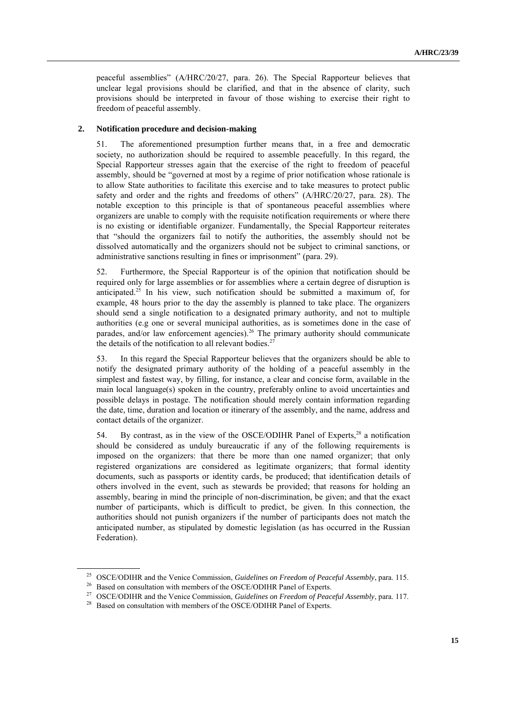peaceful assemblies" (A/HRC/20/27, para. 26). The Special Rapporteur believes that unclear legal provisions should be clarified, and that in the absence of clarity, such provisions should be interpreted in favour of those wishing to exercise their right to freedom of peaceful assembly.

#### **2. Notification procedure and decision-making**

51. The aforementioned presumption further means that, in a free and democratic society, no authorization should be required to assemble peacefully. In this regard, the Special Rapporteur stresses again that the exercise of the right to freedom of peaceful assembly, should be "governed at most by a regime of prior notification whose rationale is to allow State authorities to facilitate this exercise and to take measures to protect public safety and order and the rights and freedoms of others" (A/HRC/20/27, para. 28). The notable exception to this principle is that of spontaneous peaceful assemblies where organizers are unable to comply with the requisite notification requirements or where there is no existing or identifiable organizer. Fundamentally, the Special Rapporteur reiterates that "should the organizers fail to notify the authorities, the assembly should not be dissolved automatically and the organizers should not be subject to criminal sanctions, or administrative sanctions resulting in fines or imprisonment" (para. 29).

52. Furthermore, the Special Rapporteur is of the opinion that notification should be required only for large assemblies or for assemblies where a certain degree of disruption is anticipated. <sup>25</sup> In his view, such notification should be submitted a maximum of, for example, 48 hours prior to the day the assembly is planned to take place. The organizers should send a single notification to a designated primary authority, and not to multiple authorities (e.g one or several municipal authorities, as is sometimes done in the case of parades, and/or law enforcement agencies).<sup>26</sup> The primary authority should communicate the details of the notification to all relevant bodies.<sup>27</sup>

53. In this regard the Special Rapporteur believes that the organizers should be able to notify the designated primary authority of the holding of a peaceful assembly in the simplest and fastest way, by filling, for instance, a clear and concise form, available in the main local language(s) spoken in the country, preferably online to avoid uncertainties and possible delays in postage. The notification should merely contain information regarding the date, time, duration and location or itinerary of the assembly, and the name, address and contact details of the organizer.

54. By contrast, as in the view of the OSCE/ODIHR Panel of Experts,<sup>28</sup> a notification should be considered as unduly bureaucratic if any of the following requirements is imposed on the organizers: that there be more than one named organizer; that only registered organizations are considered as legitimate organizers; that formal identity documents, such as passports or identity cards, be produced; that identification details of others involved in the event, such as stewards be provided; that reasons for holding an assembly, bearing in mind the principle of non-discrimination, be given; and that the exact number of participants, which is difficult to predict, be given. In this connection, the authorities should not punish organizers if the number of participants does not match the anticipated number, as stipulated by domestic legislation (as has occurred in the Russian Federation).

<sup>25</sup> OSCE/ODIHR and the Venice Commission, *Guidelines on Freedom of Peaceful Assembly*, para. 115.

<sup>&</sup>lt;sup>26</sup> Based on consultation with members of the OSCE/ODIHR Panel of Experts.

<sup>27</sup> OSCE/ODIHR and the Venice Commission, *Guidelines on Freedom of Peaceful Assembly*, para. 117.

<sup>&</sup>lt;sup>28</sup> Based on consultation with members of the OSCE/ODIHR Panel of Experts.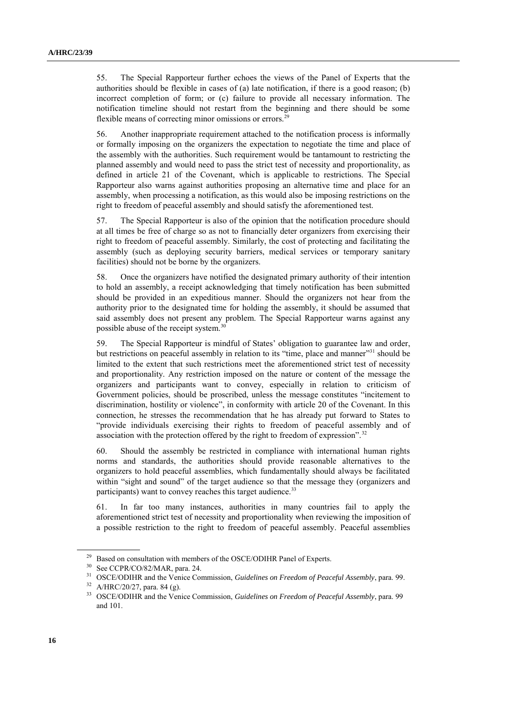55. The Special Rapporteur further echoes the views of the Panel of Experts that the authorities should be flexible in cases of (a) late notification, if there is a good reason; (b) incorrect completion of form; or (c) failure to provide all necessary information. The notification timeline should not restart from the beginning and there should be some flexible means of correcting minor omissions or errors.<sup>29</sup>

56. Another inappropriate requirement attached to the notification process is informally or formally imposing on the organizers the expectation to negotiate the time and place of the assembly with the authorities. Such requirement would be tantamount to restricting the planned assembly and would need to pass the strict test of necessity and proportionality, as defined in article 21 of the Covenant, which is applicable to restrictions. The Special Rapporteur also warns against authorities proposing an alternative time and place for an assembly, when processing a notification, as this would also be imposing restrictions on the right to freedom of peaceful assembly and should satisfy the aforementioned test.

57. The Special Rapporteur is also of the opinion that the notification procedure should at all times be free of charge so as not to financially deter organizers from exercising their right to freedom of peaceful assembly. Similarly, the cost of protecting and facilitating the assembly (such as deploying security barriers, medical services or temporary sanitary facilities) should not be borne by the organizers.

58. Once the organizers have notified the designated primary authority of their intention to hold an assembly, a receipt acknowledging that timely notification has been submitted should be provided in an expeditious manner. Should the organizers not hear from the authority prior to the designated time for holding the assembly, it should be assumed that said assembly does not present any problem. The Special Rapporteur warns against any possible abuse of the receipt system.<sup>30</sup>

59. The Special Rapporteur is mindful of States' obligation to guarantee law and order, but restrictions on peaceful assembly in relation to its "time, place and manner"<sup>31</sup> should be limited to the extent that such restrictions meet the aforementioned strict test of necessity and proportionality. Any restriction imposed on the nature or content of the message the organizers and participants want to convey, especially in relation to criticism of Government policies, should be proscribed, unless the message constitutes "incitement to discrimination, hostility or violence", in conformity with article 20 of the Covenant. In this connection, he stresses the recommendation that he has already put forward to States to "provide individuals exercising their rights to freedom of peaceful assembly and of association with the protection offered by the right to freedom of expression".<sup>32</sup>

60. Should the assembly be restricted in compliance with international human rights norms and standards, the authorities should provide reasonable alternatives to the organizers to hold peaceful assemblies, which fundamentally should always be facilitated within "sight and sound" of the target audience so that the message they (organizers and participants) want to convey reaches this target audience.<sup>33</sup>

61. In far too many instances, authorities in many countries fail to apply the aforementioned strict test of necessity and proportionality when reviewing the imposition of a possible restriction to the right to freedom of peaceful assembly. Peaceful assemblies

<sup>&</sup>lt;sup>29</sup> Based on consultation with members of the OSCE/ODIHR Panel of Experts.<br><sup>30</sup> See CODB/CO/22AAB gave 24

See CCPR/CO/82/MAR, para. 24.

<sup>&</sup>lt;sup>31</sup> OSCE/ODIHR and the Venice Commission, *Guidelines on Freedom of Peaceful Assembly*, para. 99.

A/HRC/20/27, para. 84 (g).

<sup>33</sup> OSCE/ODIHR and the Venice Commission, *Guidelines on Freedom of Peaceful Assembly*, para. 99 and 101.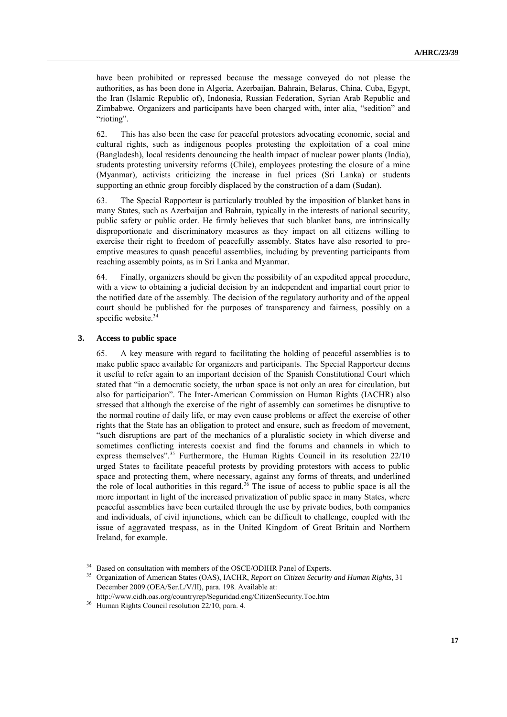have been prohibited or repressed because the message conveyed do not please the authorities, as has been done in Algeria, Azerbaijan, Bahrain, Belarus, China, Cuba, Egypt, the Iran (Islamic Republic of), Indonesia, Russian Federation, Syrian Arab Republic and Zimbabwe. Organizers and participants have been charged with, inter alia, "sedition" and "rioting".

62. This has also been the case for peaceful protestors advocating economic, social and cultural rights, such as indigenous peoples protesting the exploitation of a coal mine (Bangladesh), local residents denouncing the health impact of nuclear power plants (India), students protesting university reforms (Chile), employees protesting the closure of a mine (Myanmar), activists criticizing the increase in fuel prices (Sri Lanka) or students supporting an ethnic group forcibly displaced by the construction of a dam (Sudan).

63. The Special Rapporteur is particularly troubled by the imposition of blanket bans in many States, such as Azerbaijan and Bahrain, typically in the interests of national security, public safety or public order. He firmly believes that such blanket bans, are intrinsically disproportionate and discriminatory measures as they impact on all citizens willing to exercise their right to freedom of peacefully assembly. States have also resorted to preemptive measures to quash peaceful assemblies, including by preventing participants from reaching assembly points, as in Sri Lanka and Myanmar.

64. Finally, organizers should be given the possibility of an expedited appeal procedure, with a view to obtaining a judicial decision by an independent and impartial court prior to the notified date of the assembly. The decision of the regulatory authority and of the appeal court should be published for the purposes of transparency and fairness, possibly on a specific website.<sup>34</sup>

#### **3. Access to public space**

65. A key measure with regard to facilitating the holding of peaceful assemblies is to make public space available for organizers and participants. The Special Rapporteur deems it useful to refer again to an important decision of the Spanish Constitutional Court which stated that "in a democratic society, the urban space is not only an area for circulation, but also for participation". The Inter-American Commission on Human Rights (IACHR) also stressed that although the exercise of the right of assembly can sometimes be disruptive to the normal routine of daily life, or may even cause problems or affect the exercise of other rights that the State has an obligation to protect and ensure, such as freedom of movement, "such disruptions are part of the mechanics of a pluralistic society in which diverse and sometimes conflicting interests coexist and find the forums and channels in which to express themselves".<sup>35</sup> Furthermore, the Human Rights Council in its resolution 22/10 urged States to facilitate peaceful protests by providing protestors with access to public space and protecting them, where necessary, against any forms of threats, and underlined the role of local authorities in this regard.<sup>36</sup> The issue of access to public space is all the more important in light of the increased privatization of public space in many States, where peaceful assemblies have been curtailed through the use by private bodies, both companies and individuals, of civil injunctions, which can be difficult to challenge, coupled with the issue of aggravated trespass, as in the United Kingdom of Great Britain and Northern Ireland, for example.

<sup>&</sup>lt;sup>34</sup> Based on consultation with members of the OSCE/ODIHR Panel of Experts.

<sup>35</sup> Organization of American States (OAS), IACHR, *Report on Citizen Security and Human Rights*, 31 December 2009 (OEA/Ser.L/V/II), para. 198. Available at:

<http://www.cidh.oas.org/countryrep/Seguridad.eng/CitizenSecurity.Toc.htm>

<sup>&</sup>lt;sup>36</sup> Human Rights Council resolution 22/10, para. 4.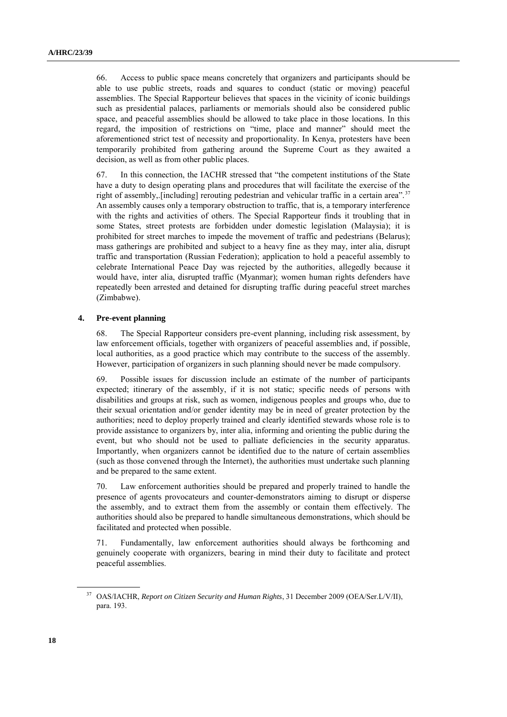66. Access to public space means concretely that organizers and participants should be able to use public streets, roads and squares to conduct (static or moving) peaceful assemblies. The Special Rapporteur believes that spaces in the vicinity of iconic buildings such as presidential palaces, parliaments or memorials should also be considered public space, and peaceful assemblies should be allowed to take place in those locations. In this regard, the imposition of restrictions on "time, place and manner" should meet the aforementioned strict test of necessity and proportionality. In Kenya, protesters have been temporarily prohibited from gathering around the Supreme Court as they awaited a decision, as well as from other public places.

67. In this connection, the IACHR stressed that "the competent institutions of the State have a duty to design operating plans and procedures that will facilitate the exercise of the right of assembly,.[including] rerouting pedestrian and vehicular traffic in a certain area".<sup>37</sup> An assembly causes only a temporary obstruction to traffic, that is, a temporary interference with the rights and activities of others. The Special Rapporteur finds it troubling that in some States, street protests are forbidden under domestic legislation (Malaysia); it is prohibited for street marches to impede the movement of traffic and pedestrians (Belarus); mass gatherings are prohibited and subject to a heavy fine as they may, inter alia, disrupt traffic and transportation (Russian Federation); application to hold a peaceful assembly to celebrate International Peace Day was rejected by the authorities, allegedly because it would have, inter alia, disrupted traffic (Myanmar); women human rights defenders have repeatedly been arrested and detained for disrupting traffic during peaceful street marches (Zimbabwe).

#### **4. Pre-event planning**

68. The Special Rapporteur considers pre-event planning, including risk assessment, by law enforcement officials, together with organizers of peaceful assemblies and, if possible, local authorities, as a good practice which may contribute to the success of the assembly. However, participation of organizers in such planning should never be made compulsory.

69. Possible issues for discussion include an estimate of the number of participants expected; itinerary of the assembly, if it is not static; specific needs of persons with disabilities and groups at risk, such as women, indigenous peoples and groups who, due to their sexual orientation and/or gender identity may be in need of greater protection by the authorities; need to deploy properly trained and clearly identified stewards whose role is to provide assistance to organizers by, inter alia, informing and orienting the public during the event, but who should not be used to palliate deficiencies in the security apparatus. Importantly, when organizers cannot be identified due to the nature of certain assemblies (such as those convened through the Internet), the authorities must undertake such planning and be prepared to the same extent.

70. Law enforcement authorities should be prepared and properly trained to handle the presence of agents provocateurs and counter-demonstrators aiming to disrupt or disperse the assembly, and to extract them from the assembly or contain them effectively. The authorities should also be prepared to handle simultaneous demonstrations, which should be facilitated and protected when possible.

71. Fundamentally, law enforcement authorities should always be forthcoming and genuinely cooperate with organizers, bearing in mind their duty to facilitate and protect peaceful assemblies.

<sup>&</sup>lt;sup>37</sup> OAS/IACHR, *Report on Citizen Security and Human Rights*, 31 December 2009 (OEA/Ser.L/V/II), para. 193.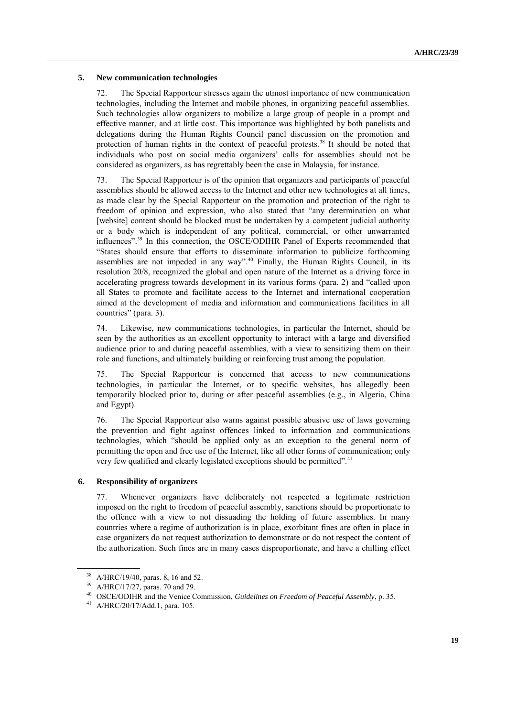#### **5. New communication technologies**

72. The Special Rapporteur stresses again the utmost importance of new communication technologies, including the Internet and mobile phones, in organizing peaceful assemblies. Such technologies allow organizers to mobilize a large group of people in a prompt and effective manner, and at little cost. This importance was highlighted by both panelists and delegations during the Human Rights Council panel discussion on the promotion and protection of human rights in the context of peaceful protests.<sup>38</sup> It should be noted that individuals who post on social media organizers' calls for assemblies should not be considered as organizers, as has regrettably been the case in Malaysia, for instance.

73. The Special Rapporteur is of the opinion that organizers and participants of peaceful assemblies should be allowed access to the Internet and other new technologies at all times, as made clear by the Special Rapporteur on the promotion and protection of the right to freedom of opinion and expression, who also stated that "any determination on what [website] content should be blocked must be undertaken by a competent judicial authority or a body which is independent of any political, commercial, or other unwarranted influences".<sup>39</sup> In this connection, the OSCE/ODIHR Panel of Experts recommended that "States should ensure that efforts to disseminate information to publicize forthcoming assemblies are not impeded in any way".<sup>40</sup> Finally, the Human Rights Council, in its resolution 20/8, recognized the global and open nature of the Internet as a driving force in accelerating progress towards development in its various forms (para. 2) and "called upon all States to promote and facilitate access to the Internet and international cooperation aimed at the development of media and information and communications facilities in all countries" (para. 3).

74. Likewise, new communications technologies, in particular the Internet, should be seen by the authorities as an excellent opportunity to interact with a large and diversified audience prior to and during peaceful assemblies, with a view to sensitizing them on their role and functions, and ultimately building or reinforcing trust among the population.

75. The Special Rapporteur is concerned that access to new communications technologies, in particular the Internet, or to specific websites, has allegedly been temporarily blocked prior to, during or after peaceful assemblies (e.g., in Algeria, China and Egypt).

76. The Special Rapporteur also warns against possible abusive use of laws governing the prevention and fight against offences linked to information and communications technologies, which "should be applied only as an exception to the general norm of permitting the open and free use of the Internet, like all other forms of communication; only very few qualified and clearly legislated exceptions should be permitted".<sup>41</sup>

#### **6. Responsibility of organizers**

77. Whenever organizers have deliberately not respected a legitimate restriction imposed on the right to freedom of peaceful assembly, sanctions should be proportionate to the offence with a view to not dissuading the holding of future assemblies. In many countries where a regime of authorization is in place, exorbitant fines are often in place in case organizers do not request authorization to demonstrate or do not respect the content of the authorization. Such fines are in many cases disproportionate, and have a chilling effect

 $^{38}$  A/HRC/19/40, paras. 8, 16 and 52.

A/HRC/17/27, paras. 70 and 79.

<sup>40</sup> OSCE/ODIHR and the Venice Commission, *Guidelines on Freedom of Peaceful Assembly*, p. 35.

<sup>41</sup> A/HRC/20/17/Add.1, para. 105.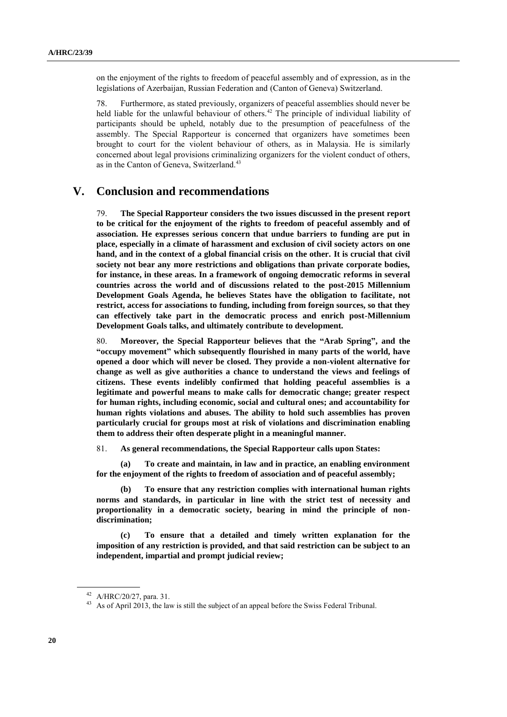on the enjoyment of the rights to freedom of peaceful assembly and of expression, as in the legislations of Azerbaijan, Russian Federation and (Canton of Geneva) Switzerland.

78. Furthermore, as stated previously, organizers of peaceful assemblies should never be held liable for the unlawful behaviour of others.<sup>42</sup> The principle of individual liability of participants should be upheld, notably due to the presumption of peacefulness of the assembly. The Special Rapporteur is concerned that organizers have sometimes been brought to court for the violent behaviour of others, as in Malaysia. He is similarly concerned about legal provisions criminalizing organizers for the violent conduct of others, as in the Canton of Geneva, Switzerland.<sup>43</sup>

## **V. Conclusion and recommendations**

79. **The Special Rapporteur considers the two issues discussed in the present report to be critical for the enjoyment of the rights to freedom of peaceful assembly and of association. He expresses serious concern that undue barriers to funding are put in place, especially in a climate of harassment and exclusion of civil society actors on one hand, and in the context of a global financial crisis on the other. It is crucial that civil society not bear any more restrictions and obligations than private corporate bodies, for instance, in these areas. In a framework of ongoing democratic reforms in several countries across the world and of discussions related to the post-2015 Millennium Development Goals Agenda, he believes States have the obligation to facilitate, not restrict, access for associations to funding, including from foreign sources, so that they can effectively take part in the democratic process and enrich post-Millennium Development Goals talks, and ultimately contribute to development.**

80. **Moreover, the Special Rapporteur believes that the "Arab Spring", and the "occupy movement" which subsequently flourished in many parts of the world, have opened a door which will never be closed. They provide a non-violent alternative for change as well as give authorities a chance to understand the views and feelings of citizens. These events indelibly confirmed that holding peaceful assemblies is a legitimate and powerful means to make calls for democratic change; greater respect for human rights, including economic, social and cultural ones; and accountability for human rights violations and abuses. The ability to hold such assemblies has proven particularly crucial for groups most at risk of violations and discrimination enabling them to address their often desperate plight in a meaningful manner.**

81. **As general recommendations, the Special Rapporteur calls upon States:** 

**(a) To create and maintain, in law and in practice, an enabling environment for the enjoyment of the rights to freedom of association and of peaceful assembly;**

**(b) To ensure that any restriction complies with international human rights norms and standards, in particular in line with the strict test of necessity and proportionality in a democratic society, bearing in mind the principle of nondiscrimination;**

**(c) To ensure that a detailed and timely written explanation for the imposition of any restriction is provided, and that said restriction can be subject to an independent, impartial and prompt judicial review;**

<sup>42</sup> A/HRC/20/27, para. 31.

<sup>&</sup>lt;sup>43</sup> As of April 2013, the law is still the subject of an appeal before the Swiss Federal Tribunal.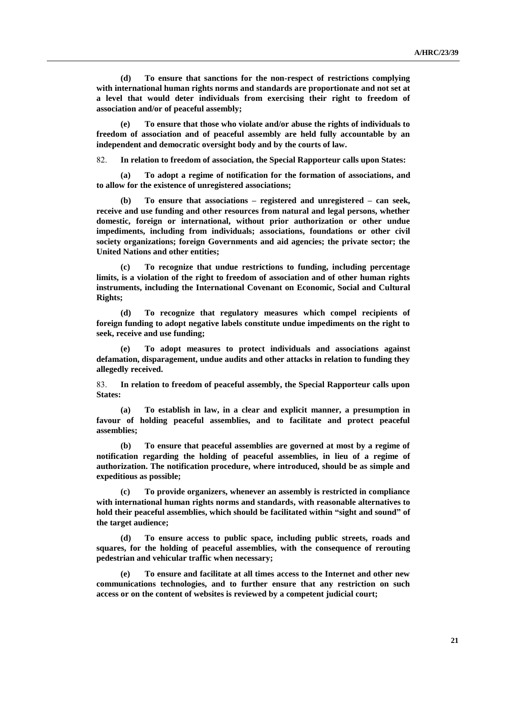**(d) To ensure that sanctions for the non-respect of restrictions complying with international human rights norms and standards are proportionate and not set at a level that would deter individuals from exercising their right to freedom of association and/or of peaceful assembly;**

**(e) To ensure that those who violate and/or abuse the rights of individuals to freedom of association and of peaceful assembly are held fully accountable by an independent and democratic oversight body and by the courts of law.**

82. **In relation to freedom of association, the Special Rapporteur calls upon States:** 

**(a) To adopt a regime of notification for the formation of associations, and to allow for the existence of unregistered associations;**

**(b) To ensure that associations – registered and unregistered – can seek, receive and use funding and other resources from natural and legal persons, whether domestic, foreign or international, without prior authorization or other undue impediments, including from individuals; associations, foundations or other civil society organizations; foreign Governments and aid agencies; the private sector; the United Nations and other entities;**

**(c) To recognize that undue restrictions to funding, including percentage limits, is a violation of the right to freedom of association and of other human rights instruments, including the International Covenant on Economic, Social and Cultural Rights;**

**(d) To recognize that regulatory measures which compel recipients of foreign funding to adopt negative labels constitute undue impediments on the right to seek, receive and use funding;**

**(e) To adopt measures to protect individuals and associations against defamation, disparagement, undue audits and other attacks in relation to funding they allegedly received.**

83. **In relation to freedom of peaceful assembly, the Special Rapporteur calls upon States:** 

**(a) To establish in law, in a clear and explicit manner, a presumption in favour of holding peaceful assemblies, and to facilitate and protect peaceful assemblies;** 

**(b) To ensure that peaceful assemblies are governed at most by a regime of notification regarding the holding of peaceful assemblies, in lieu of a regime of authorization. The notification procedure, where introduced, should be as simple and expeditious as possible;**

**(c) To provide organizers, whenever an assembly is restricted in compliance with international human rights norms and standards, with reasonable alternatives to hold their peaceful assemblies, which should be facilitated within "sight and sound" of the target audience;**

**(d) To ensure access to public space, including public streets, roads and squares, for the holding of peaceful assemblies, with the consequence of rerouting pedestrian and vehicular traffic when necessary;** 

**(e) To ensure and facilitate at all times access to the Internet and other new communications technologies, and to further ensure that any restriction on such access or on the content of websites is reviewed by a competent judicial court;**